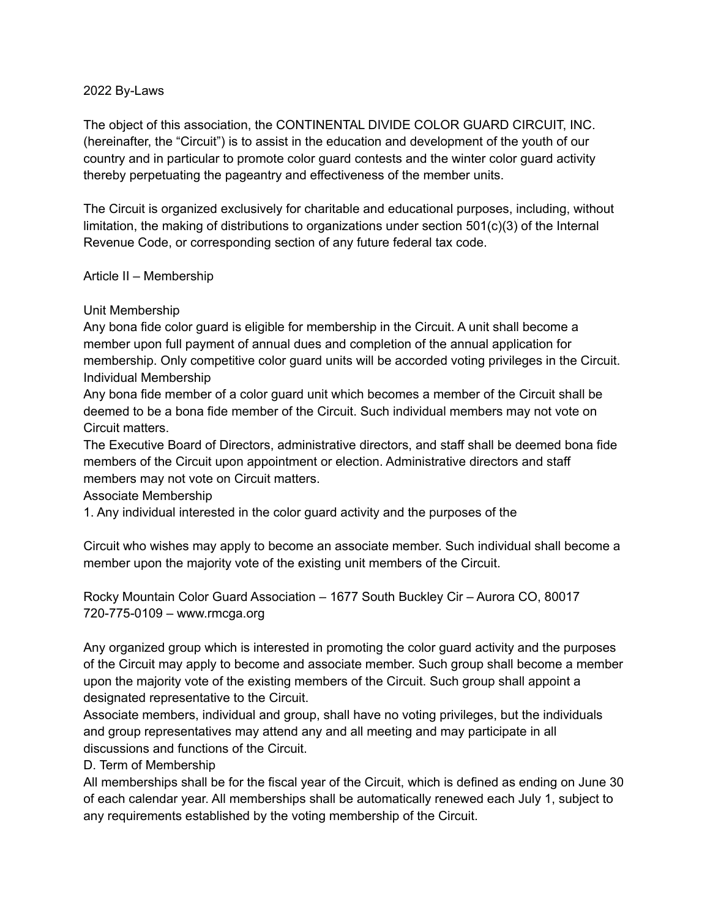#### 2022 By-Laws

The object of this association, the CONTINENTAL DIVIDE COLOR GUARD CIRCUIT, INC. (hereinafter, the "Circuit") is to assist in the education and development of the youth of our country and in particular to promote color guard contests and the winter color guard activity thereby perpetuating the pageantry and effectiveness of the member units.

The Circuit is organized exclusively for charitable and educational purposes, including, without limitation, the making of distributions to organizations under section 501(c)(3) of the Internal Revenue Code, or corresponding section of any future federal tax code.

### Article II – Membership

### Unit Membership

Any bona fide color guard is eligible for membership in the Circuit. A unit shall become a member upon full payment of annual dues and completion of the annual application for membership. Only competitive color guard units will be accorded voting privileges in the Circuit. Individual Membership

Any bona fide member of a color guard unit which becomes a member of the Circuit shall be deemed to be a bona fide member of the Circuit. Such individual members may not vote on Circuit matters.

The Executive Board of Directors, administrative directors, and staff shall be deemed bona fide members of the Circuit upon appointment or election. Administrative directors and staff members may not vote on Circuit matters.

Associate Membership

1. Any individual interested in the color guard activity and the purposes of the

Circuit who wishes may apply to become an associate member. Such individual shall become a member upon the majority vote of the existing unit members of the Circuit.

Rocky Mountain Color Guard Association – 1677 South Buckley Cir – Aurora CO, 80017 720-775-0109 – www.rmcga.org

Any organized group which is interested in promoting the color guard activity and the purposes of the Circuit may apply to become and associate member. Such group shall become a member upon the majority vote of the existing members of the Circuit. Such group shall appoint a designated representative to the Circuit.

Associate members, individual and group, shall have no voting privileges, but the individuals and group representatives may attend any and all meeting and may participate in all discussions and functions of the Circuit.

### D. Term of Membership

All memberships shall be for the fiscal year of the Circuit, which is defined as ending on June 30 of each calendar year. All memberships shall be automatically renewed each July 1, subject to any requirements established by the voting membership of the Circuit.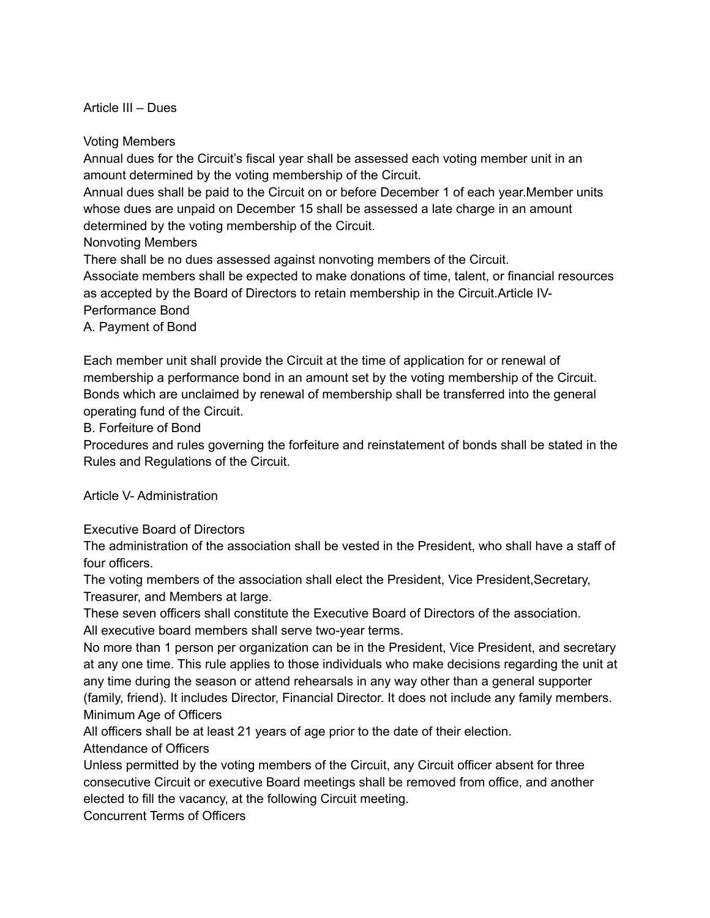Article III – Dues

Voting Members

Annual dues for the Circuit's fiscal year shall be assessed each voting member unit in an amount determined by the voting membership of the Circuit.

Annual dues shall be paid to the Circuit on or before December 1 of each year.Member units whose dues are unpaid on December 15 shall be assessed a late charge in an amount determined by the voting membership of the Circuit.

Nonvoting Members

There shall be no dues assessed against nonvoting members of the Circuit.

Associate members shall be expected to make donations of time, talent, or financial resources as accepted by the Board of Directors to retain membership in the Circuit.Article IV-Performance Bond

A. Payment of Bond

Each member unit shall provide the Circuit at the time of application for or renewal of membership a performance bond in an amount set by the voting membership of the Circuit. Bonds which are unclaimed by renewal of membership shall be transferred into the general operating fund of the Circuit.

B. Forfeiture of Bond

Procedures and rules governing the forfeiture and reinstatement of bonds shall be stated in the Rules and Regulations of the Circuit.

Article V- Administration

Executive Board of Directors

The administration of the association shall be vested in the President, who shall have a staff of four officers.

The voting members of the association shall elect the President, Vice President,Secretary, Treasurer, and Members at large.

These seven officers shall constitute the Executive Board of Directors of the association. All executive board members shall serve two-year terms.

No more than 1 person per organization can be in the President, Vice President, and secretary at any one time. This rule applies to those individuals who make decisions regarding the unit at any time during the season or attend rehearsals in any way other than a general supporter (family, friend). It includes Director, Financial Director. It does not include any family members. Minimum Age of Officers

All officers shall be at least 21 years of age prior to the date of their election.

Attendance of Officers

Unless permitted by the voting members of the Circuit, any Circuit officer absent for three consecutive Circuit or executive Board meetings shall be removed from office, and another elected to fill the vacancy, at the following Circuit meeting.

Concurrent Terms of Officers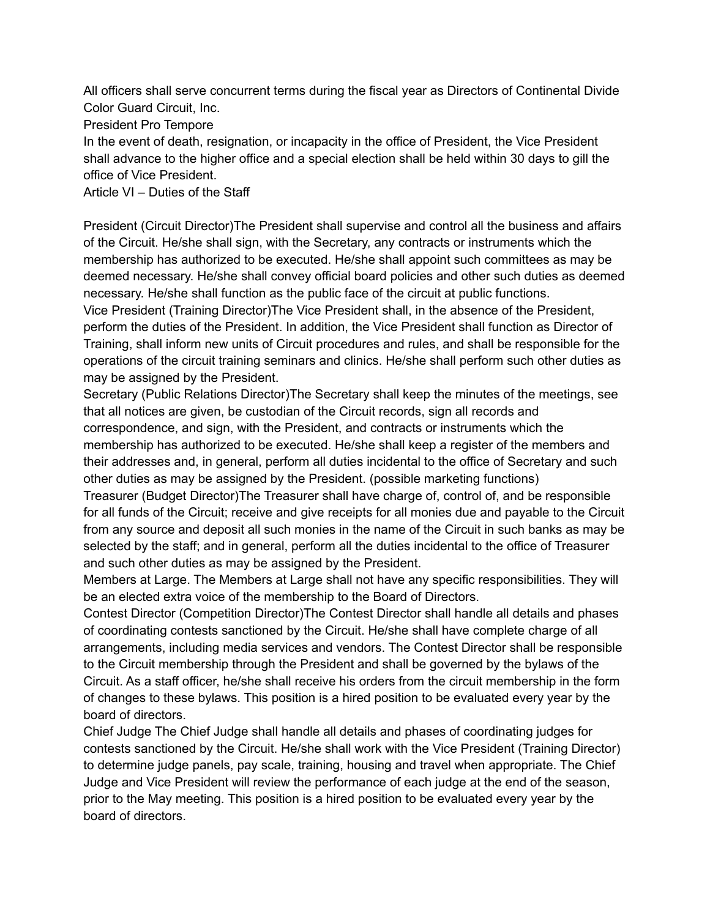All officers shall serve concurrent terms during the fiscal year as Directors of Continental Divide Color Guard Circuit, Inc.

President Pro Tempore

In the event of death, resignation, or incapacity in the office of President, the Vice President shall advance to the higher office and a special election shall be held within 30 days to gill the office of Vice President.

Article VI – Duties of the Staff

President (Circuit Director)The President shall supervise and control all the business and affairs of the Circuit. He/she shall sign, with the Secretary, any contracts or instruments which the membership has authorized to be executed. He/she shall appoint such committees as may be deemed necessary. He/she shall convey official board policies and other such duties as deemed necessary. He/she shall function as the public face of the circuit at public functions.

Vice President (Training Director)The Vice President shall, in the absence of the President, perform the duties of the President. In addition, the Vice President shall function as Director of Training, shall inform new units of Circuit procedures and rules, and shall be responsible for the operations of the circuit training seminars and clinics. He/she shall perform such other duties as may be assigned by the President.

Secretary (Public Relations Director)The Secretary shall keep the minutes of the meetings, see that all notices are given, be custodian of the Circuit records, sign all records and correspondence, and sign, with the President, and contracts or instruments which the membership has authorized to be executed. He/she shall keep a register of the members and their addresses and, in general, perform all duties incidental to the office of Secretary and such other duties as may be assigned by the President. (possible marketing functions)

Treasurer (Budget Director)The Treasurer shall have charge of, control of, and be responsible for all funds of the Circuit; receive and give receipts for all monies due and payable to the Circuit from any source and deposit all such monies in the name of the Circuit in such banks as may be selected by the staff; and in general, perform all the duties incidental to the office of Treasurer and such other duties as may be assigned by the President.

Members at Large. The Members at Large shall not have any specific responsibilities. They will be an elected extra voice of the membership to the Board of Directors.

Contest Director (Competition Director)The Contest Director shall handle all details and phases of coordinating contests sanctioned by the Circuit. He/she shall have complete charge of all arrangements, including media services and vendors. The Contest Director shall be responsible to the Circuit membership through the President and shall be governed by the bylaws of the Circuit. As a staff officer, he/she shall receive his orders from the circuit membership in the form of changes to these bylaws. This position is a hired position to be evaluated every year by the board of directors.

Chief Judge The Chief Judge shall handle all details and phases of coordinating judges for contests sanctioned by the Circuit. He/she shall work with the Vice President (Training Director) to determine judge panels, pay scale, training, housing and travel when appropriate. The Chief Judge and Vice President will review the performance of each judge at the end of the season, prior to the May meeting. This position is a hired position to be evaluated every year by the board of directors.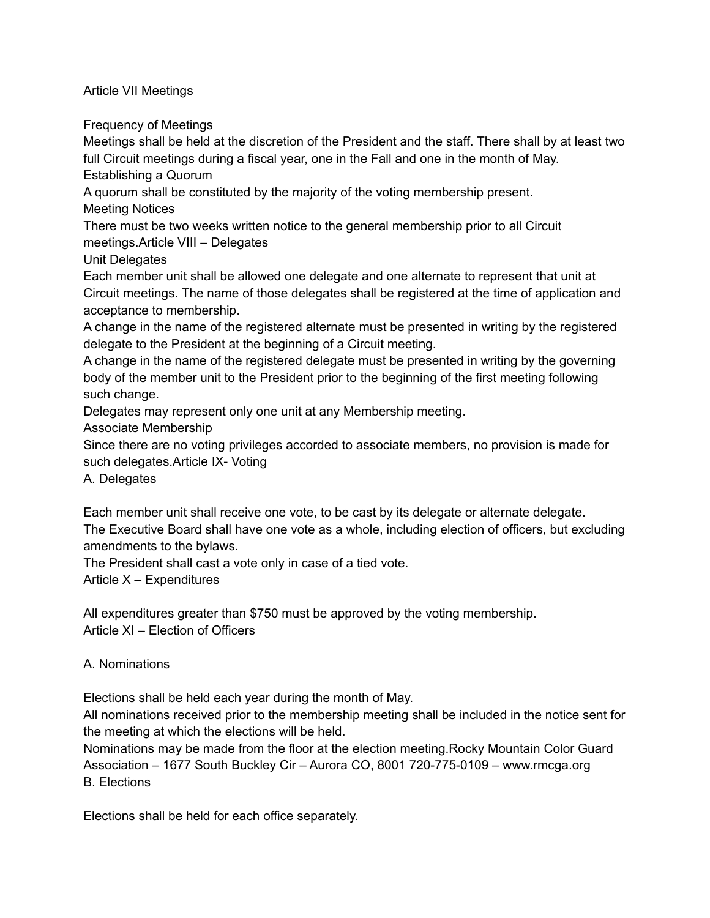Article VII Meetings

Frequency of Meetings

Meetings shall be held at the discretion of the President and the staff. There shall by at least two full Circuit meetings during a fiscal year, one in the Fall and one in the month of May.

Establishing a Quorum

A quorum shall be constituted by the majority of the voting membership present.

Meeting Notices

There must be two weeks written notice to the general membership prior to all Circuit meetings.Article VIII – Delegates

Unit Delegates

Each member unit shall be allowed one delegate and one alternate to represent that unit at Circuit meetings. The name of those delegates shall be registered at the time of application and acceptance to membership.

A change in the name of the registered alternate must be presented in writing by the registered delegate to the President at the beginning of a Circuit meeting.

A change in the name of the registered delegate must be presented in writing by the governing body of the member unit to the President prior to the beginning of the first meeting following such change.

Delegates may represent only one unit at any Membership meeting.

Associate Membership

Since there are no voting privileges accorded to associate members, no provision is made for such delegates.Article IX- Voting

A. Delegates

Each member unit shall receive one vote, to be cast by its delegate or alternate delegate. The Executive Board shall have one vote as a whole, including election of officers, but excluding amendments to the bylaws.

The President shall cast a vote only in case of a tied vote.

Article X – Expenditures

All expenditures greater than \$750 must be approved by the voting membership. Article XI – Election of Officers

# A. Nominations

Elections shall be held each year during the month of May.

All nominations received prior to the membership meeting shall be included in the notice sent for the meeting at which the elections will be held.

Nominations may be made from the floor at the election meeting.Rocky Mountain Color Guard Association – 1677 South Buckley Cir – Aurora CO, 8001 720-775-0109 – www.rmcga.org B. Elections

Elections shall be held for each office separately.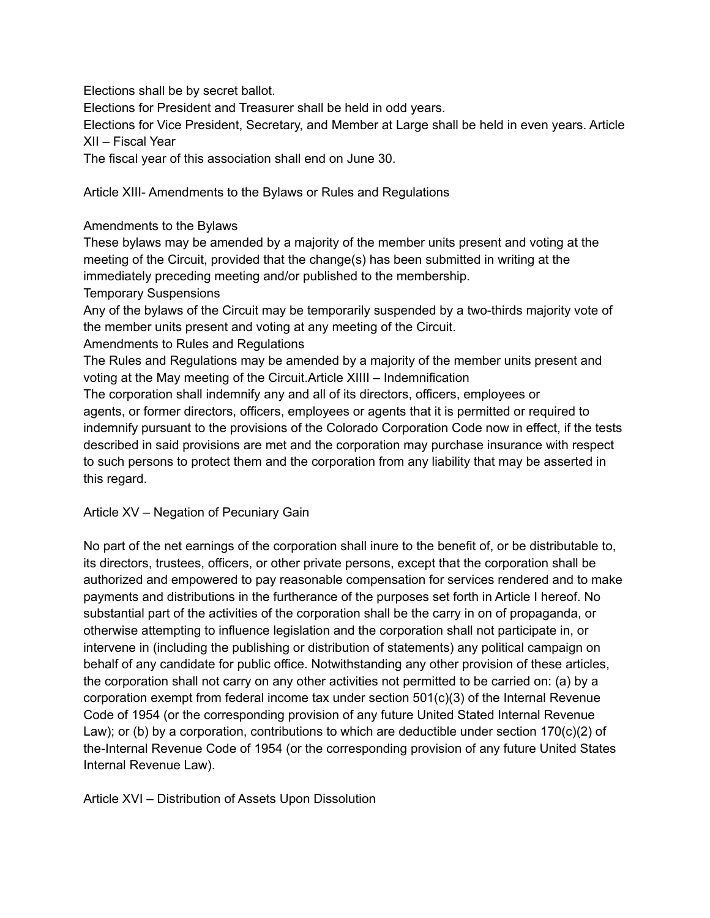Elections shall be by secret ballot.

Elections for President and Treasurer shall be held in odd years.

Elections for Vice President, Secretary, and Member at Large shall be held in even years. Article XII – Fiscal Year

The fiscal year of this association shall end on June 30.

Article XIII- Amendments to the Bylaws or Rules and Regulations

### Amendments to the Bylaws

These bylaws may be amended by a majority of the member units present and voting at the meeting of the Circuit, provided that the change(s) has been submitted in writing at the immediately preceding meeting and/or published to the membership.

Temporary Suspensions

Any of the bylaws of the Circuit may be temporarily suspended by a two-thirds majority vote of the member units present and voting at any meeting of the Circuit.

Amendments to Rules and Regulations

The Rules and Regulations may be amended by a majority of the member units present and voting at the May meeting of the Circuit.Article XIIII – Indemnification

The corporation shall indemnify any and all of its directors, officers, employees or agents, or former directors, officers, employees or agents that it is permitted or required to indemnify pursuant to the provisions of the Colorado Corporation Code now in effect, if the tests described in said provisions are met and the corporation may purchase insurance with respect to such persons to protect them and the corporation from any liability that may be asserted in this regard.

# Article XV – Negation of Pecuniary Gain

No part of the net earnings of the corporation shall inure to the benefit of, or be distributable to, its directors, trustees, officers, or other private persons, except that the corporation shall be authorized and empowered to pay reasonable compensation for services rendered and to make payments and distributions in the furtherance of the purposes set forth in Article I hereof. No substantial part of the activities of the corporation shall be the carry in on of propaganda, or otherwise attempting to influence legislation and the corporation shall not participate in, or intervene in (including the publishing or distribution of statements) any political campaign on behalf of any candidate for public office. Notwithstanding any other provision of these articles, the corporation shall not carry on any other activities not permitted to be carried on: (a) by a corporation exempt from federal income tax under section  $501(c)(3)$  of the Internal Revenue Code of 1954 (or the corresponding provision of any future United Stated Internal Revenue Law); or (b) by a corporation, contributions to which are deductible under section  $170(c)(2)$  of the-Internal Revenue Code of 1954 (or the corresponding provision of any future United States Internal Revenue Law).

Article XVI – Distribution of Assets Upon Dissolution